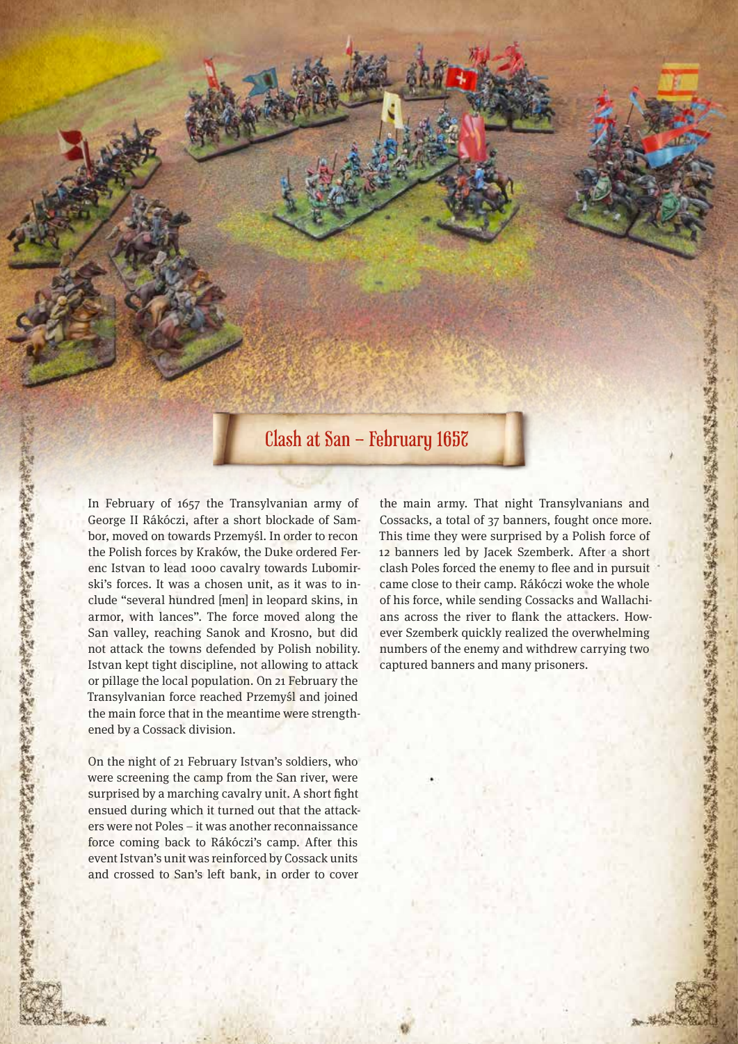## Clash at San – February 1657

In February of 1657 the Transylvanian army of George II Rákóczi, after a short blockade of Sambor, moved on towards Przemyśl. In order to recon the Polish forces by Kraków, the Duke ordered Ferenc Istvan to lead 1000 cavalry towards Lubomirski's forces. It was a chosen unit, as it was to include "several hundred [men] in leopard skins, in armor, with lances". The force moved along the San valley, reaching Sanok and Krosno, but did not attack the towns defended by Polish nobility. Istvan kept tight discipline, not allowing to attack or pillage the local population. On 21 February the Transylvanian force reached Przemyśl and joined the main force that in the meantime were strengthened by a Cossack division.

化作品合成品有效合同的有效高中的合同的有效合同的有效合同的有效合同的有效合同的有效合同

On the night of 21 February Istvan's soldiers, who were screening the camp from the San river, were surprised by a marching cavalry unit. A short fight ensued during which it turned out that the attackers were not Poles – it was another reconnaissance force coming back to Rákóczi's camp. After this event Istvan's unit was reinforced by Cossack units and crossed to San's left bank, in order to cover

the main army. That night Transylvanians and Cossacks, a total of 37 banners, fought once more. This time they were surprised by a Polish force of 12 banners led by Jacek Szemberk. After a short clash Poles forced the enemy to flee and in pursuit came close to their camp. Rákóczi woke the whole of his force, while sending Cossacks and Wallachians across the river to flank the attackers. However Szemberk quickly realized the overwhelming numbers of the enemy and withdrew carrying two captured banners and many prisoners.

医心中 化高级分离线 医单纯分离 化分离环境 化分离化分离环 医骨状动脉 化分离 化分离化分离 经分离经分离经分离经分离经分离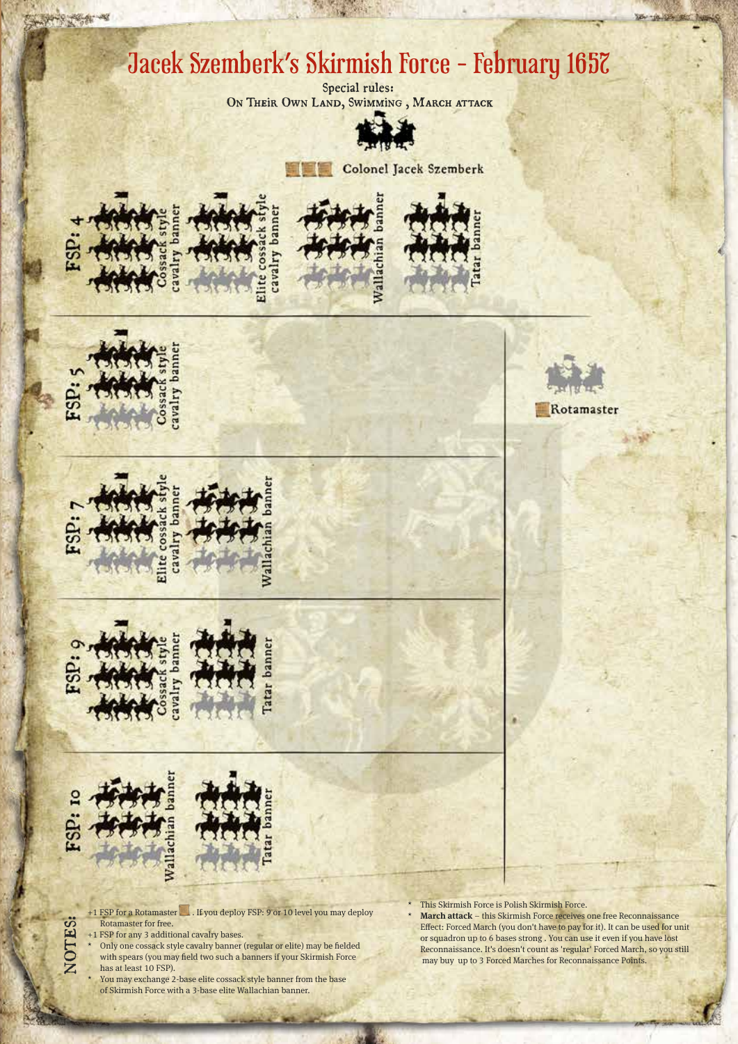## Jacek Szemberk's Skirmish Force - February 1657

Special rules: ON THEIR OWN LAND, SWIMMING, MARCH ATTACK



Colonel Jacek Szemberk













NOTES:



- +1 FSP for a Rotamaster . If you deploy FSP: 9 or 10 level you may deploy Rotamaster for free.
- +1 FSP for any 3 additional cavalry bases.
- Only one cossack style cavalry banner (regular or elite) may be fielded with spears (you may field two such a banners if your Skirmish Force has at least 10 FSP).
	- You may exchange 2-base elite cossack style banner from the base of Skirmish Force with a 3-base elite Wallachian banner.

Rotamaster

\* This Skirmish Force is Polish Skirmish Force.

**March attack** – this Skirmish Force receives one free Reconnaissance Effect: Forced March (you don't have to pay for it). It can be used for unit or squadron up to 6 bases strong . You can use it even if you have lost Reconnaissance. It's doesn't count as 'regular' Forced March, so you still may buy up to 3 Forced Marches for Reconnaissance Points.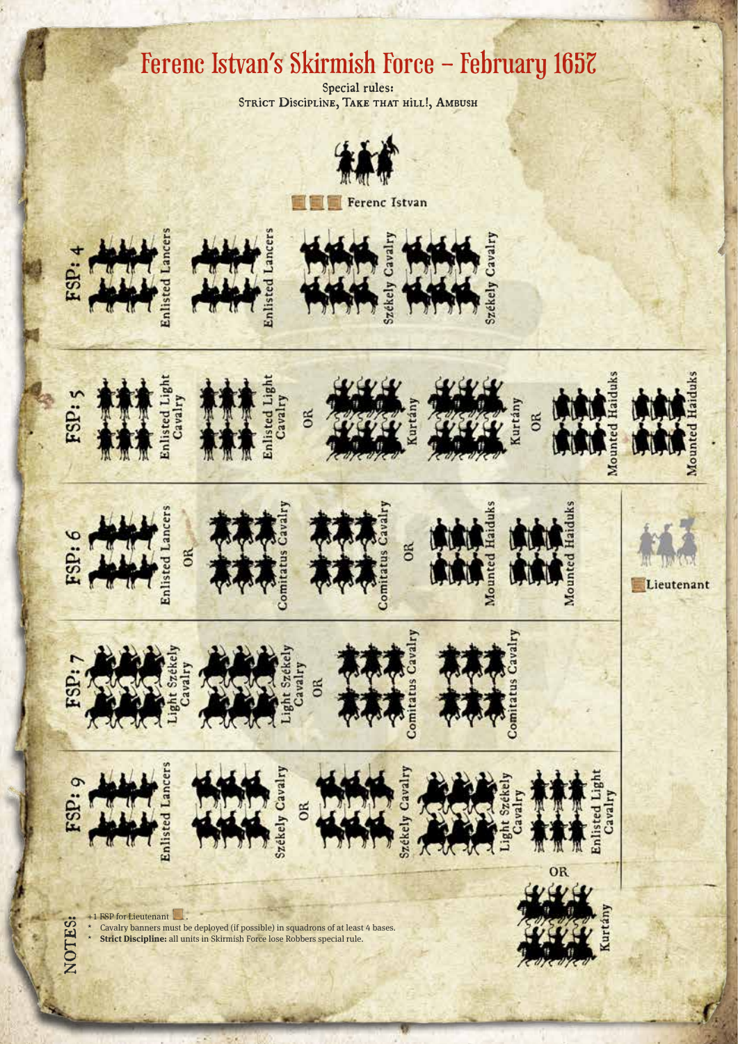## Ferenc Istvan's Skirmish Force – February 1657

Special rules: STRICT Discipline, TAKE THAT HILL!, AMBUSH



Ferenc Istvan



ESP

FSP:









Lieutenant

Mou



NOTES:

dS.





zékely Cavalry **OR** 



OR











+1 FSP for Lieutenant \* Cavalry banners must be deployed (if possible) in squadrons of at least 4 bases. \* **Strict Discipline:** all units in Skirmish Force lose Robbers special rule.